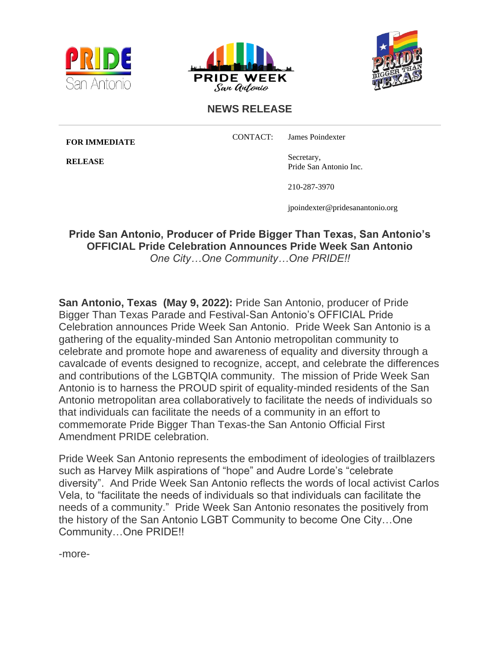





## **NEWS RELEASE**

**FOR IMMEDIATE**

**RELEASE**

CONTACT: James Poindexter

Secretary, Pride San Antonio Inc.

210-287-3970

jpoindexter@pridesanantonio.org

**Pride San Antonio, Producer of Pride Bigger Than Texas, San Antonio's OFFICIAL Pride Celebration Announces Pride Week San Antonio**  *One City…One Community…One PRIDE!!*

**San Antonio, Texas (May 9, 2022):** Pride San Antonio, producer of Pride Bigger Than Texas Parade and Festival-San Antonio's OFFICIAL Pride Celebration announces Pride Week San Antonio. Pride Week San Antonio is a gathering of the equality-minded San Antonio metropolitan community to celebrate and promote hope and awareness of equality and diversity through a cavalcade of events designed to recognize, accept, and celebrate the differences and contributions of the LGBTQIA community. The mission of Pride Week San Antonio is to harness the PROUD spirit of equality-minded residents of the San Antonio metropolitan area collaboratively to facilitate the needs of individuals so that individuals can facilitate the needs of a community in an effort to commemorate Pride Bigger Than Texas-the San Antonio Official First Amendment PRIDE celebration.

Pride Week San Antonio represents the embodiment of ideologies of trailblazers such as Harvey Milk aspirations of "hope" and Audre Lorde's "celebrate diversity". And Pride Week San Antonio reflects the words of local activist Carlos Vela, to "facilitate the needs of individuals so that individuals can facilitate the needs of a community." Pride Week San Antonio resonates the positively from the history of the San Antonio LGBT Community to become One City…One Community…One PRIDE!!

-more-